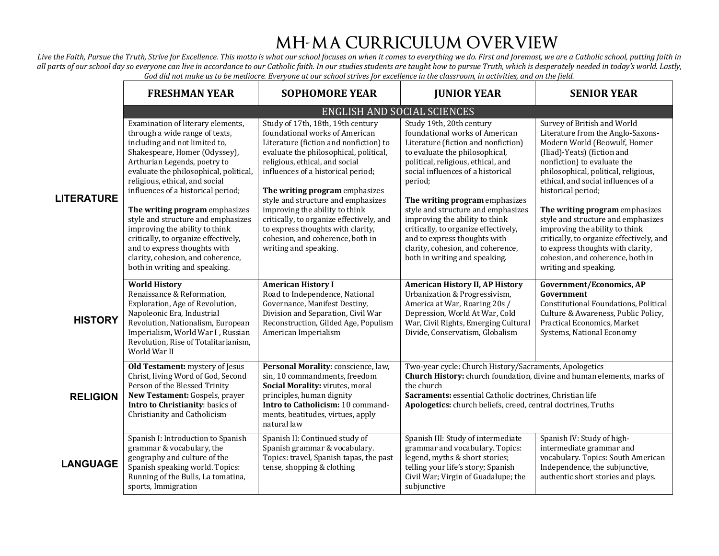## **MH-MA CURRICULUM OVERVIEW**

Live the Faith, Pursue the Truth, Strive for Excellence. This motto is what our school focuses on when it comes to everything we do. First and foremost, we are a Catholic school, putting faith in all parts of our school day so everyone can live in accordance to our Catholic faith. In our studies students are taught how to pursue Truth, which is desperately needed in today's world. Lastly, God did not make us to be mediocre. Everyone at our school strives for excellence in the classroom, in activities, and on the field.

|                   | <b>FRESHMAN YEAR</b>                                                                                                                                                                                                                                                                                                                                                                                                                                                                                                                            | <b>SOPHOMORE YEAR</b>                                                                                                                                                                                                                                                                                                                                                                                                                                                                   | <b>JUNIOR YEAR</b>                                                                                                                                                                                                                                                                                                                                                                                                                                                                | <b>SENIOR YEAR</b>                                                                                                                                                                                                                                                                                                                                                                                                                                                                                                          |  |  |
|-------------------|-------------------------------------------------------------------------------------------------------------------------------------------------------------------------------------------------------------------------------------------------------------------------------------------------------------------------------------------------------------------------------------------------------------------------------------------------------------------------------------------------------------------------------------------------|-----------------------------------------------------------------------------------------------------------------------------------------------------------------------------------------------------------------------------------------------------------------------------------------------------------------------------------------------------------------------------------------------------------------------------------------------------------------------------------------|-----------------------------------------------------------------------------------------------------------------------------------------------------------------------------------------------------------------------------------------------------------------------------------------------------------------------------------------------------------------------------------------------------------------------------------------------------------------------------------|-----------------------------------------------------------------------------------------------------------------------------------------------------------------------------------------------------------------------------------------------------------------------------------------------------------------------------------------------------------------------------------------------------------------------------------------------------------------------------------------------------------------------------|--|--|
|                   | <b>ENGLISH AND SOCIAL SCIENCES</b>                                                                                                                                                                                                                                                                                                                                                                                                                                                                                                              |                                                                                                                                                                                                                                                                                                                                                                                                                                                                                         |                                                                                                                                                                                                                                                                                                                                                                                                                                                                                   |                                                                                                                                                                                                                                                                                                                                                                                                                                                                                                                             |  |  |
| <b>LITERATURE</b> | Examination of literary elements,<br>through a wide range of texts,<br>including and not limited to,<br>Shakespeare, Homer (Odyssey),<br>Arthurian Legends, poetry to<br>evaluate the philosophical, political,<br>religious, ethical, and social<br>influences of a historical period;<br>The writing program emphasizes<br>style and structure and emphasizes<br>improving the ability to think<br>critically, to organize effectively,<br>and to express thoughts with<br>clarity, cohesion, and coherence,<br>both in writing and speaking. | Study of 17th, 18th, 19th century<br>foundational works of American<br>Literature (fiction and nonfiction) to<br>evaluate the philosophical, political,<br>religious, ethical, and social<br>influences of a historical period;<br>The writing program emphasizes<br>style and structure and emphasizes<br>improving the ability to think<br>critically, to organize effectively, and<br>to express thoughts with clarity,<br>cohesion, and coherence, both in<br>writing and speaking. | Study 19th, 20th century<br>foundational works of American<br>Literature (fiction and nonfiction)<br>to evaluate the philosophical,<br>political, religious, ethical, and<br>social influences of a historical<br>period;<br>The writing program emphasizes<br>style and structure and emphasizes<br>improving the ability to think<br>critically, to organize effectively,<br>and to express thoughts with<br>clarity, cohesion, and coherence,<br>both in writing and speaking. | Survey of British and World<br>Literature from the Anglo-Saxons-<br>Modern World (Beowulf, Homer<br>(Iliad)-Yeats) (fiction and<br>nonfiction) to evaluate the<br>philosophical, political, religious,<br>ethical, and social influences of a<br>historical period;<br>The writing program emphasizes<br>style and structure and emphasizes<br>improving the ability to think<br>critically, to organize effectively, and<br>to express thoughts with clarity,<br>cohesion, and coherence, both in<br>writing and speaking. |  |  |
| <b>HISTORY</b>    | <b>World History</b><br>Renaissance & Reformation,<br>Exploration, Age of Revolution,<br>Napoleonic Era, Industrial<br>Revolution, Nationalism, European<br>Imperialism, World War I, Russian<br>Revolution, Rise of Totalitarianism,<br>World War II                                                                                                                                                                                                                                                                                           | <b>American History I</b><br>Road to Independence, National<br>Governance, Manifest Destiny,<br>Division and Separation, Civil War<br>Reconstruction, Gilded Age, Populism<br>American Imperialism                                                                                                                                                                                                                                                                                      | <b>American History II, AP History</b><br>Urbanization & Progressivism,<br>America at War, Roaring 20s /<br>Depression, World At War, Cold<br>War, Civil Rights, Emerging Cultural<br>Divide, Conservatism, Globalism                                                                                                                                                                                                                                                             | <b>Government/Economics, AP</b><br>Government<br>Constitutional Foundations, Political<br>Culture & Awareness, Public Policy,<br>Practical Economics, Market<br>Systems, National Economy                                                                                                                                                                                                                                                                                                                                   |  |  |
| <b>RELIGION</b>   | Old Testament: mystery of Jesus<br>Christ, living Word of God, Second<br>Person of the Blessed Trinity<br>New Testament: Gospels, prayer<br>Intro to Christianity: basics of<br>Christianity and Catholicism                                                                                                                                                                                                                                                                                                                                    | Personal Morality: conscience, law,<br>sin, 10 commandments, freedom<br>Social Morality: virutes, moral<br>principles, human dignity<br>Intro to Catholicism: 10 command-<br>ments, beatitudes, virtues, apply<br>natural law                                                                                                                                                                                                                                                           | Two-year cycle: Church History/Sacraments, Apologetics<br>Church History: church foundation, divine and human elements, marks of<br>the church<br>Sacraments: essential Catholic doctrines, Christian life<br>Apologetics: church beliefs, creed, central doctrines, Truths                                                                                                                                                                                                       |                                                                                                                                                                                                                                                                                                                                                                                                                                                                                                                             |  |  |
| <b>LANGUAGE</b>   | Spanish I: Introduction to Spanish<br>grammar & vocabulary, the<br>geography and culture of the<br>Spanish speaking world. Topics:<br>Running of the Bulls, La tomatina,<br>sports, Immigration                                                                                                                                                                                                                                                                                                                                                 | Spanish II: Continued study of<br>Spanish grammar & vocabulary.<br>Topics: travel, Spanish tapas, the past<br>tense, shopping & clothing                                                                                                                                                                                                                                                                                                                                                | Spanish III: Study of intermediate<br>grammar and vocabulary. Topics:<br>legend, myths & short stories;<br>telling your life's story; Spanish<br>Civil War; Virgin of Guadalupe; the<br>subjunctive                                                                                                                                                                                                                                                                               | Spanish IV: Study of high-<br>intermediate grammar and<br>vocabulary. Topics: South American<br>Independence, the subjunctive,<br>authentic short stories and plays.                                                                                                                                                                                                                                                                                                                                                        |  |  |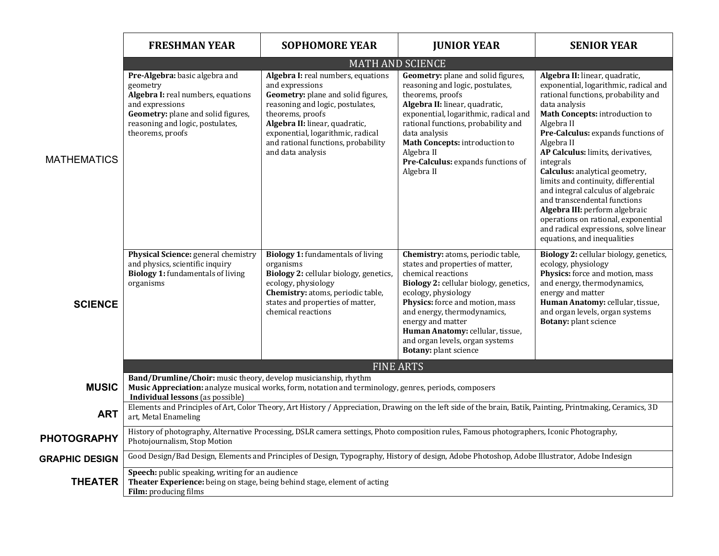|                       | <b>FRESHMAN YEAR</b>                                                                                                                                                                                         | <b>SOPHOMORE YEAR</b>                                                                                                                                                                                                                                                                  | <b>JUNIOR YEAR</b>                                                                                                                                                                                                                                                                                                                                  | <b>SENIOR YEAR</b>                                                                                                                                                                                                                                                                                                                                                                                                                                                                                                                                                                    |  |
|-----------------------|--------------------------------------------------------------------------------------------------------------------------------------------------------------------------------------------------------------|----------------------------------------------------------------------------------------------------------------------------------------------------------------------------------------------------------------------------------------------------------------------------------------|-----------------------------------------------------------------------------------------------------------------------------------------------------------------------------------------------------------------------------------------------------------------------------------------------------------------------------------------------------|---------------------------------------------------------------------------------------------------------------------------------------------------------------------------------------------------------------------------------------------------------------------------------------------------------------------------------------------------------------------------------------------------------------------------------------------------------------------------------------------------------------------------------------------------------------------------------------|--|
|                       | <b>MATH AND SCIENCE</b>                                                                                                                                                                                      |                                                                                                                                                                                                                                                                                        |                                                                                                                                                                                                                                                                                                                                                     |                                                                                                                                                                                                                                                                                                                                                                                                                                                                                                                                                                                       |  |
| <b>MATHEMATICS</b>    | Pre-Algebra: basic algebra and<br>geometry<br>Algebra I: real numbers, equations<br>and expressions<br>Geometry: plane and solid figures,<br>reasoning and logic, postulates,<br>theorems, proofs            | Algebra I: real numbers, equations<br>and expressions<br>Geometry: plane and solid figures,<br>reasoning and logic, postulates,<br>theorems, proofs<br>Algebra II: linear, quadratic,<br>exponential, logarithmic, radical<br>and rational functions, probability<br>and data analysis | Geometry: plane and solid figures,<br>reasoning and logic, postulates,<br>theorems, proofs<br>Algebra II: linear, quadratic,<br>exponential, logarithmic, radical and<br>rational functions, probability and<br>data analysis<br>Math Concepts: introduction to<br>Algebra II<br>Pre-Calculus: expands functions of<br>Algebra II                   | Algebra II: linear, quadratic,<br>exponential, logarithmic, radical and<br>rational functions, probability and<br>data analysis<br>Math Concepts: introduction to<br>Algebra II<br>Pre-Calculus: expands functions of<br>Algebra II<br>AP Calculus: limits, derivatives,<br>integrals<br>Calculus: analytical geometry,<br>limits and continuity, differential<br>and integral calculus of algebraic<br>and transcendental functions<br>Algebra III: perform algebraic<br>operations on rational, exponential<br>and radical expressions, solve linear<br>equations, and inequalities |  |
| <b>SCIENCE</b>        | Physical Science: general chemistry<br>and physics, scientific inquiry<br><b>Biology 1:</b> fundamentals of living<br>organisms                                                                              | <b>Biology 1: fundamentals of living</b><br>organisms<br>Biology 2: cellular biology, genetics,<br>ecology, physiology<br>Chemistry: atoms, periodic table,<br>states and properties of matter,<br>chemical reactions                                                                  | Chemistry: atoms, periodic table,<br>states and properties of matter,<br>chemical reactions<br>Biology 2: cellular biology, genetics,<br>ecology, physiology<br>Physics: force and motion, mass<br>and energy, thermodynamics,<br>energy and matter<br>Human Anatomy: cellular, tissue,<br>and organ levels, organ systems<br>Botany: plant science | Biology 2: cellular biology, genetics,<br>ecology, physiology<br>Physics: force and motion, mass<br>and energy, thermodynamics,<br>energy and matter<br>Human Anatomy: cellular, tissue,<br>and organ levels, organ systems<br>Botany: plant science                                                                                                                                                                                                                                                                                                                                  |  |
|                       | <b>FINE ARTS</b>                                                                                                                                                                                             |                                                                                                                                                                                                                                                                                        |                                                                                                                                                                                                                                                                                                                                                     |                                                                                                                                                                                                                                                                                                                                                                                                                                                                                                                                                                                       |  |
| <b>MUSIC</b>          | Band/Drumline/Choir: music theory, develop musicianship, rhythm<br>Music Appreciation: analyze musical works, form, notation and terminology, genres, periods, composers<br>Individual lessons (as possible) |                                                                                                                                                                                                                                                                                        |                                                                                                                                                                                                                                                                                                                                                     |                                                                                                                                                                                                                                                                                                                                                                                                                                                                                                                                                                                       |  |
| <b>ART</b>            | Elements and Principles of Art, Color Theory, Art History / Appreciation, Drawing on the left side of the brain, Batik, Painting, Printmaking, Ceramics, 3D<br>art, Metal Enameling                          |                                                                                                                                                                                                                                                                                        |                                                                                                                                                                                                                                                                                                                                                     |                                                                                                                                                                                                                                                                                                                                                                                                                                                                                                                                                                                       |  |
| <b>PHOTOGRAPHY</b>    | History of photography, Alternative Processing, DSLR camera settings, Photo composition rules, Famous photographers, Iconic Photography,<br>Photojournalism, Stop Motion                                     |                                                                                                                                                                                                                                                                                        |                                                                                                                                                                                                                                                                                                                                                     |                                                                                                                                                                                                                                                                                                                                                                                                                                                                                                                                                                                       |  |
| <b>GRAPHIC DESIGN</b> | Good Design/Bad Design, Elements and Principles of Design, Typography, History of design, Adobe Photoshop, Adobe Illustrator, Adobe Indesign                                                                 |                                                                                                                                                                                                                                                                                        |                                                                                                                                                                                                                                                                                                                                                     |                                                                                                                                                                                                                                                                                                                                                                                                                                                                                                                                                                                       |  |
| <b>THEATER</b>        | Speech: public speaking, writing for an audience<br>Theater Experience: being on stage, being behind stage, element of acting<br>Film: producing films                                                       |                                                                                                                                                                                                                                                                                        |                                                                                                                                                                                                                                                                                                                                                     |                                                                                                                                                                                                                                                                                                                                                                                                                                                                                                                                                                                       |  |